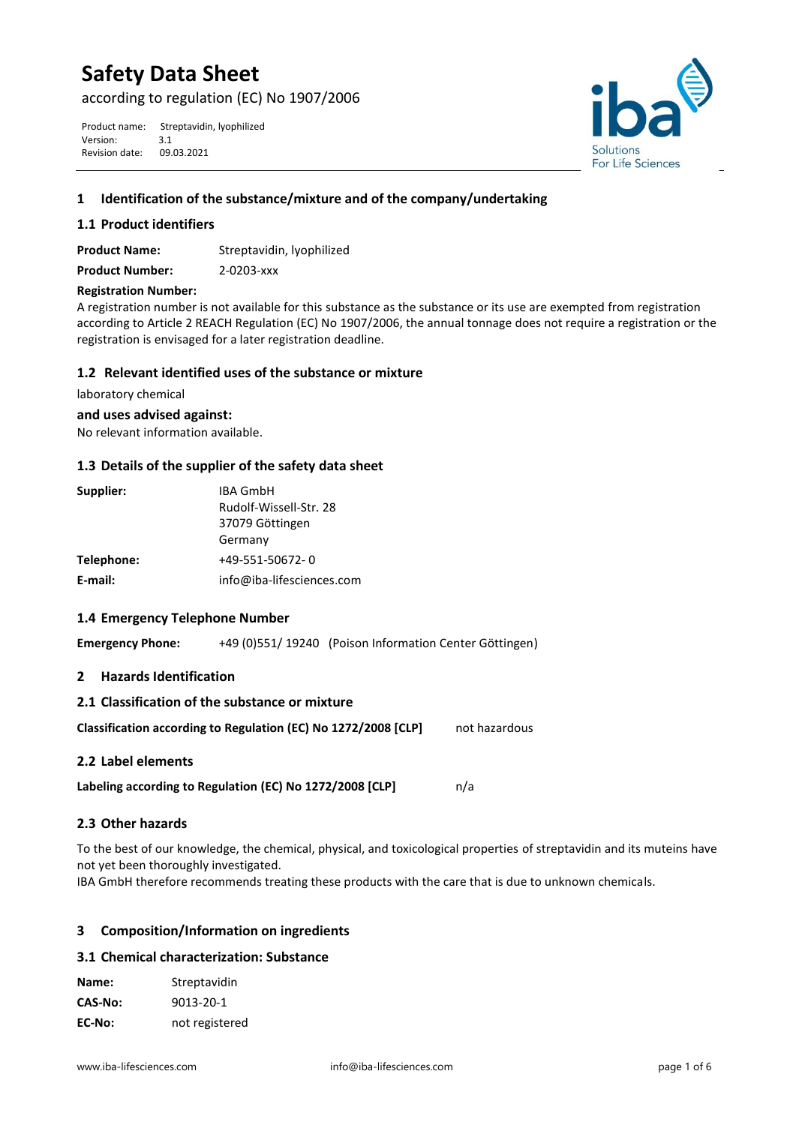# **Safety Data Sheet**

according to regulation (EC) No 1907/2006

Product name: Streptavidin, lyophilized<br>Version: 3.1 Version: 3.1<br>Revision date: 09.03.2021 Revision date:



## **1 Identification of the substance/mixture and of the company/undertaking**

## **1.1 Product identifiers**

**Product Name:** Streptavidin, lyophilized **Product Number:** 2-0203-xxx

## **Registration Number:**

A registration number is not available for this substance as the substance or its use are exempted from registration according to Article 2 REACH Regulation (EC) No 1907/2006, the annual tonnage does not require a registration or the registration is envisaged for a later registration deadline.

## **1.2 Relevant identified uses of the substance or mixture**

laboratory chemical

**and uses advised against:**

No relevant information available.

## **1.3 Details of the supplier of the safety data sheet**

| Supplier:  | <b>IBA GmbH</b>           |  |
|------------|---------------------------|--|
|            | Rudolf-Wissell-Str. 28    |  |
|            | 37079 Göttingen           |  |
|            | Germany                   |  |
| Telephone: | +49-551-50672-0           |  |
| E-mail:    | info@iba-lifesciences.com |  |

## **1.4 Emergency Telephone Number**

**Emergency Phone:** +49 (0)551/ 19240 (Poison Information Center Göttingen)

**2 Hazards Identification**

| 2.1 Classification of the substance or mixture                 |               |
|----------------------------------------------------------------|---------------|
| Classification according to Regulation (EC) No 1272/2008 [CLP] | not hazardous |
| 2.2 Label elements                                             |               |

Labeling according to Regulation (EC) No 1272/2008 [CLP]  $n/a$ 

## **2.3 Other hazards**

To the best of our knowledge, the chemical, physical, and toxicological properties of streptavidin and its muteins have not yet been thoroughly investigated.

IBA GmbH therefore recommends treating these products with the care that is due to unknown chemicals.

# **3 Composition/Information on ingredients**

## **3.1 Chemical characterization: Substance**

| Name:   | Streptavidin   |
|---------|----------------|
| CAS-No: | 9013-20-1      |
| EC-No:  | not registered |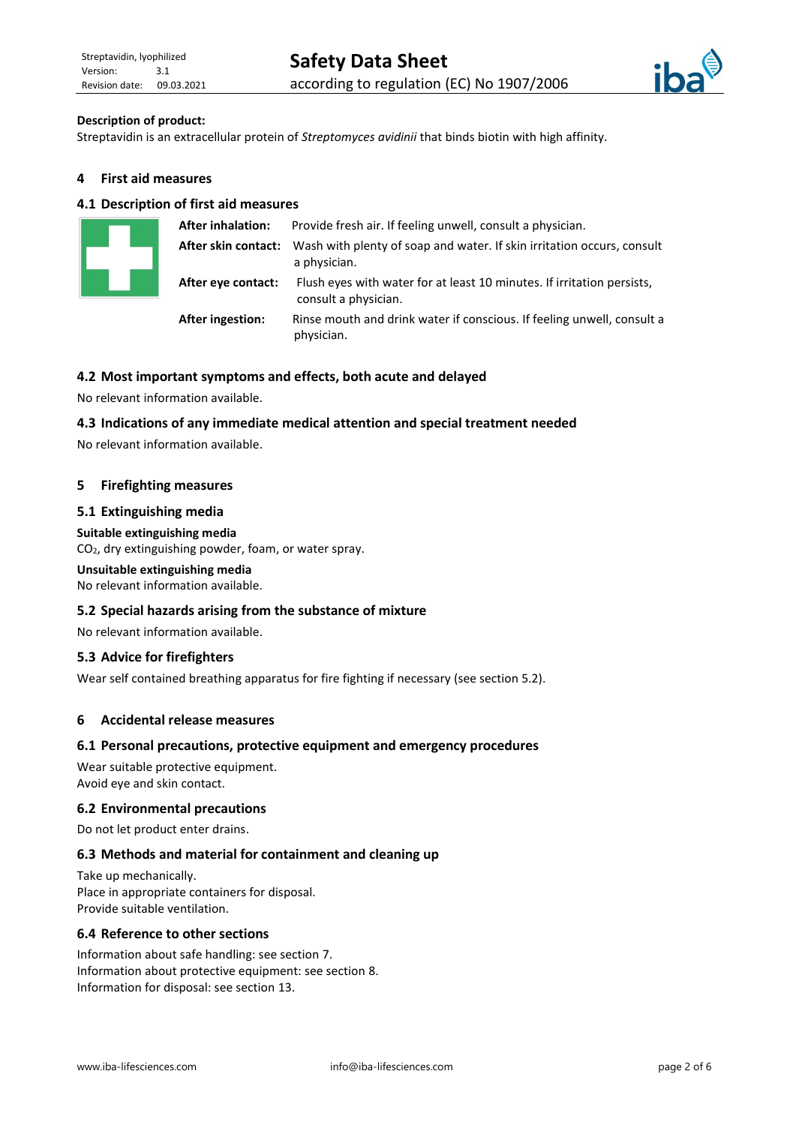

## **Description of product:**

Streptavidin is an extracellular protein of *Streptomyces avidinii* that binds biotin with high affinity.

## **4 First aid measures**

## **4.1 Description of first aid measures**

|                     | <b>After inhalation:</b> | Provide fresh air. If feeling unwell, consult a physician.                                     |
|---------------------|--------------------------|------------------------------------------------------------------------------------------------|
| After skin contact: |                          | Wash with plenty of soap and water. If skin irritation occurs, consult<br>a physician.         |
|                     | After eye contact:       | Flush eyes with water for at least 10 minutes. If irritation persists,<br>consult a physician. |
|                     | <b>After ingestion:</b>  | Rinse mouth and drink water if conscious. If feeling unwell, consult a<br>physician.           |

## **4.2 Most important symptoms and effects, both acute and delayed**

No relevant information available.

#### **4.3 Indications of any immediate medical attention and special treatment needed**

No relevant information available.

#### **5 Firefighting measures**

#### **5.1 Extinguishing media**

#### **Suitable extinguishing media**

CO2, dry extinguishing powder, foam, or water spray.

#### **Unsuitable extinguishing media**

No relevant information available.

#### **5.2 Special hazards arising from the substance of mixture**

No relevant information available.

#### **5.3 Advice for firefighters**

Wear self contained breathing apparatus for fire fighting if necessary (see section 5.2).

## **6 Accidental release measures**

#### **6.1 Personal precautions, protective equipment and emergency procedures**

Wear suitable protective equipment. Avoid eye and skin contact.

#### **6.2 Environmental precautions**

Do not let product enter drains.

#### **6.3 Methods and material for containment and cleaning up**

Take up mechanically. Place in appropriate containers for disposal. Provide suitable ventilation.

#### **6.4 Reference to other sections**

Information about safe handling: see section 7. Information about protective equipment: see section 8. Information for disposal: see section 13.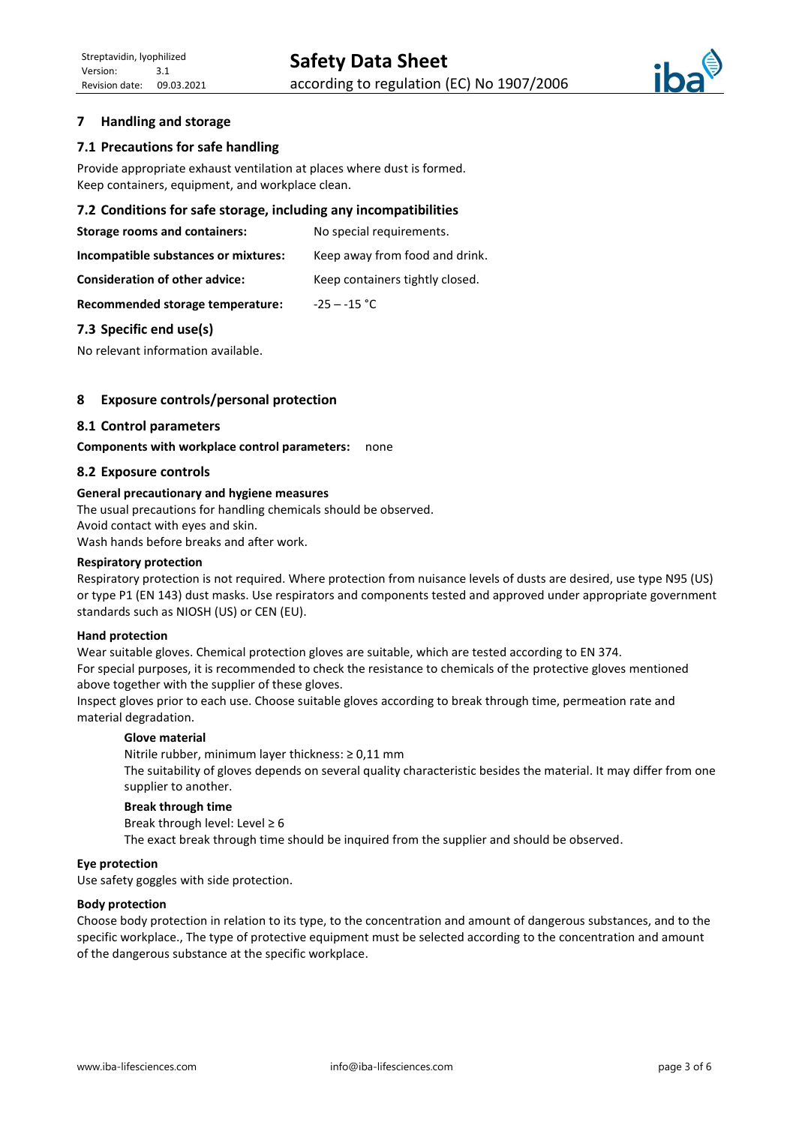

## **7 Handling and storage**

## **7.1 Precautions for safe handling**

Provide appropriate exhaust ventilation at places where dust is formed. Keep containers, equipment, and workplace clean.

#### **7.2 Conditions for safe storage, including any incompatibilities**

**Storage rooms and containers:** No special requirements.

**Incompatible substances or mixtures:** Keep away from food and drink.

**Consideration of other advice:** Keep containers tightly closed.

**Recommended storage temperature:** -25 ─ -15 °C

#### **7.3 Specific end use(s)**

No relevant information available.

## **8 Exposure controls/personal protection**

#### **8.1 Control parameters**

**Components with workplace control parameters:** none

#### **8.2 Exposure controls**

#### **General precautionary and hygiene measures**

The usual precautions for handling chemicals should be observed. Avoid contact with eyes and skin. Wash hands before breaks and after work.

#### **Respiratory protection**

Respiratory protection is not required. Where protection from nuisance levels of dusts are desired, use type N95 (US) or type P1 (EN 143) dust masks. Use respirators and components tested and approved under appropriate government standards such as NIOSH (US) or CEN (EU).

#### **Hand protection**

Wear suitable gloves. Chemical protection gloves are suitable, which are tested according to EN 374.

For special purposes, it is recommended to check the resistance to chemicals of the protective gloves mentioned above together with the supplier of these gloves.

Inspect gloves prior to each use. Choose suitable gloves according to break through time, permeation rate and material degradation.

#### **Glove material**

Nitrile rubber, minimum layer thickness: ≥ 0,11 mm The suitability of gloves depends on several quality characteristic besides the material. It may differ from one supplier to another.

#### **Break through time**

Break through level: Level  $\geq 6$ The exact break through time should be inquired from the supplier and should be observed.

#### **Eye protection**

Use safety goggles with side protection.

#### **Body protection**

Choose body protection in relation to its type, to the concentration and amount of dangerous substances, and to the specific workplace., The type of protective equipment must be selected according to the concentration and amount of the dangerous substance at the specific workplace.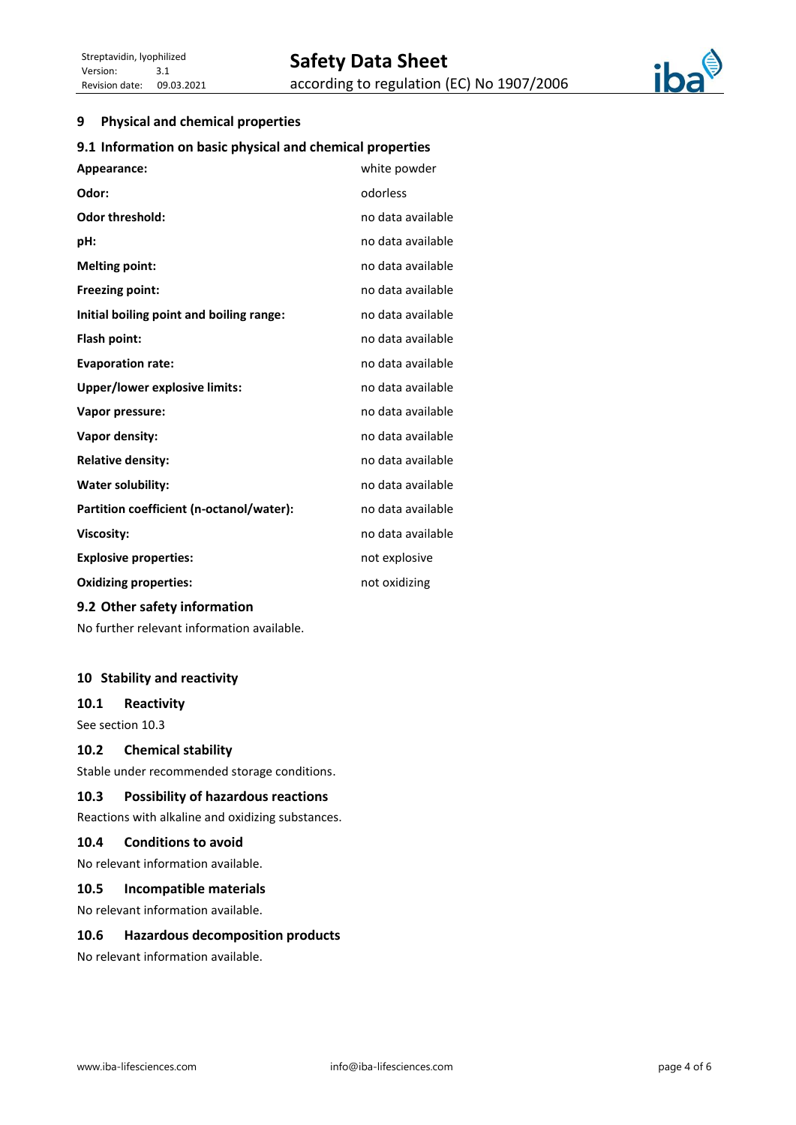

## **9 Physical and chemical properties**

## **9.1 Information on basic physical and chemical properties**

| Appearance:                              | white powder      |
|------------------------------------------|-------------------|
| Odor:                                    | odorless          |
| Odor threshold:                          | no data available |
| pH:                                      | no data available |
| <b>Melting point:</b>                    | no data available |
| <b>Freezing point:</b>                   | no data available |
| Initial boiling point and boiling range: | no data available |
| Flash point:                             | no data available |
| <b>Evaporation rate:</b>                 | no data available |
| Upper/lower explosive limits:            | no data available |
| Vapor pressure:                          | no data available |
| Vapor density:                           | no data available |
| <b>Relative density:</b>                 | no data available |
| <b>Water solubility:</b>                 | no data available |
| Partition coefficient (n-octanol/water): | no data available |
| Viscosity:                               | no data available |
| <b>Explosive properties:</b>             | not explosive     |
| <b>Oxidizing properties:</b>             | not oxidizing     |
| 9.2 Other safety information             |                   |

No further relevant information available.

## **10 Stability and reactivity**

## **10.1 Reactivity**

See section 10.3

## **10.2 Chemical stability**

Stable under recommended storage conditions.

## **10.3 Possibility of hazardous reactions**

Reactions with alkaline and oxidizing substances.

## **10.4 Conditions to avoid**

No relevant information available.

# **10.5 Incompatible materials**

No relevant information available.

## **10.6 Hazardous decomposition products**

No relevant information available.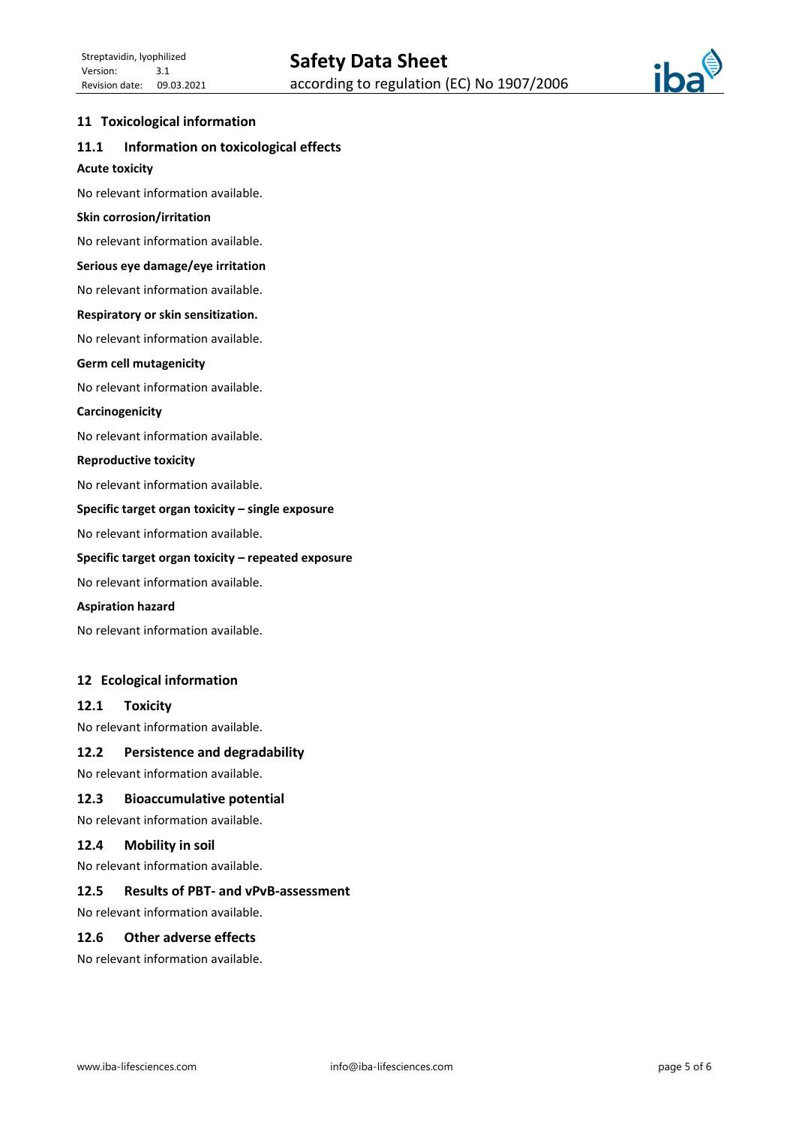

## **11 Toxicological information**

# **11.1 Information on toxicological effects**

## **Acute toxicity**

No relevant information available.

#### **Skin corrosion/irritation**

No relevant information available.

#### **Serious eye damage/eye irritation**

No relevant information available.

#### **Respiratory or skin sensitization.**

No relevant information available.

#### **Germ cell mutagenicity**

No relevant information available.

#### **Carcinogenicity**

No relevant information available.

#### **Reproductive toxicity**

No relevant information available.

## **Specific target organ toxicity – single exposure**

No relevant information available.

#### **Specific target organ toxicity – repeated exposure**

No relevant information available.

#### **Aspiration hazard**

No relevant information available.

## **12 Ecological information**

## **12.1 Toxicity**

No relevant information available.

## **12.2 Persistence and degradability**

No relevant information available.

## **12.3 Bioaccumulative potential**

No relevant information available.

#### **12.4 Mobility in soil**

No relevant information available.

## **12.5 Results of PBT- and vPvB-assessment**

No relevant information available.

## **12.6 Other adverse effects**

No relevant information available.